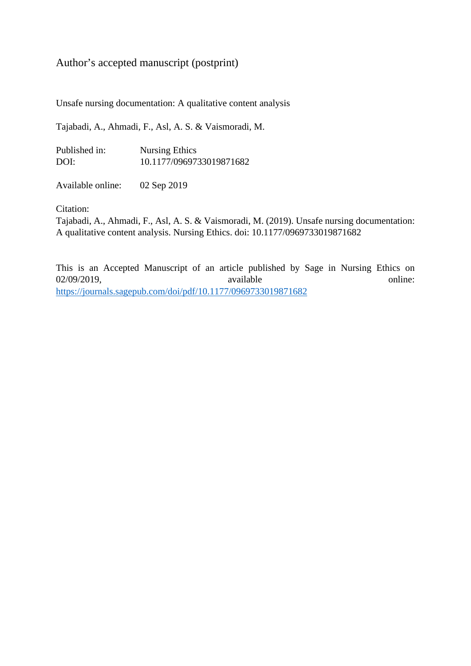# Author's accepted manuscript (postprint)

Unsafe nursing documentation: A qualitative content analysis

Tajabadi, A., Ahmadi, F., Asl, A. S. & Vaismoradi, M.

| Published in: | <b>Nursing Ethics</b>    |
|---------------|--------------------------|
| DOI:          | 10.1177/0969733019871682 |

Available online: 02 Sep 2019

Citation:

Tajabadi, A., Ahmadi, F., Asl, A. S. & Vaismoradi, M. (2019). Unsafe nursing documentation: A qualitative content analysis. Nursing Ethics. doi: 10.1177/0969733019871682

This is an Accepted Manuscript of an article published by Sage in Nursing Ethics on 02/09/2019, available online: <https://journals.sagepub.com/doi/pdf/10.1177/0969733019871682>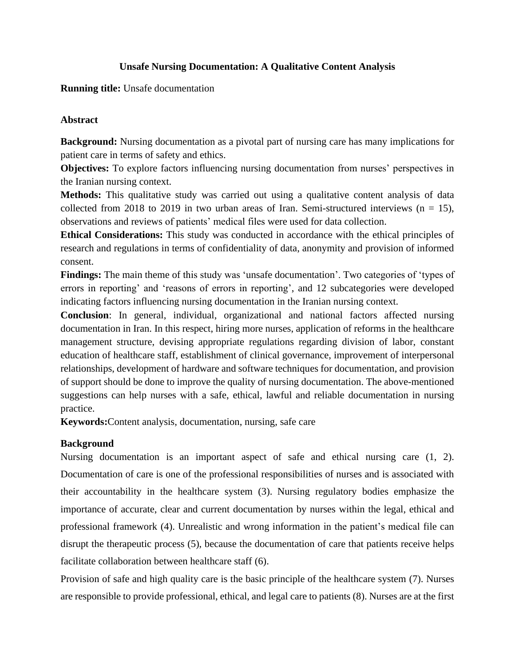## **Unsafe Nursing Documentation: A Qualitative Content Analysis**

## **Running title:** Unsafe documentation

## **Abstract**

**Background:** Nursing documentation as a pivotal part of nursing care has many implications for patient care in terms of safety and ethics.

**Objectives:** To explore factors influencing nursing documentation from nurses' perspectives in the Iranian nursing context.

**Methods:** This qualitative study was carried out using a qualitative content analysis of data collected from 2018 to 2019 in two urban areas of Iran. Semi-structured interviews ( $n = 15$ ), observations and reviews of patients' medical files were used for data collection.

**Ethical Considerations:** This study was conducted in accordance with the ethical principles of research and regulations in terms of confidentiality of data, anonymity and provision of informed consent.

**Findings:** The main theme of this study was 'unsafe documentation'. Two categories of 'types of errors in reporting' and 'reasons of errors in reporting', and 12 subcategories were developed indicating factors influencing nursing documentation in the Iranian nursing context.

**Conclusion**: In general, individual, organizational and national factors affected nursing documentation in Iran. In this respect, hiring more nurses, application of reforms in the healthcare management structure, devising appropriate regulations regarding division of labor, constant education of healthcare staff, establishment of clinical governance, improvement of interpersonal relationships, development of hardware and software techniques for documentation, and provision of support should be done to improve the quality of nursing documentation. The above-mentioned suggestions can help nurses with a safe, ethical, lawful and reliable documentation in nursing practice.

**Keywords:**Content analysis, documentation, nursing, safe care

## **Background**

Nursing documentation is an important aspect of safe and ethical nursing care (1, 2). Documentation of care is one of the professional responsibilities of nurses and is associated with their accountability in the healthcare system (3). Nursing regulatory bodies emphasize the importance of accurate, clear and current documentation by nurses within the legal, ethical and professional framework (4). Unrealistic and wrong information in the patient's medical file can disrupt the therapeutic process (5), because the documentation of care that patients receive helps facilitate collaboration between healthcare staff (6).

Provision of safe and high quality care is the basic principle of the healthcare system (7). Nurses are responsible to provide professional, ethical, and legal care to patients (8). Nurses are at the first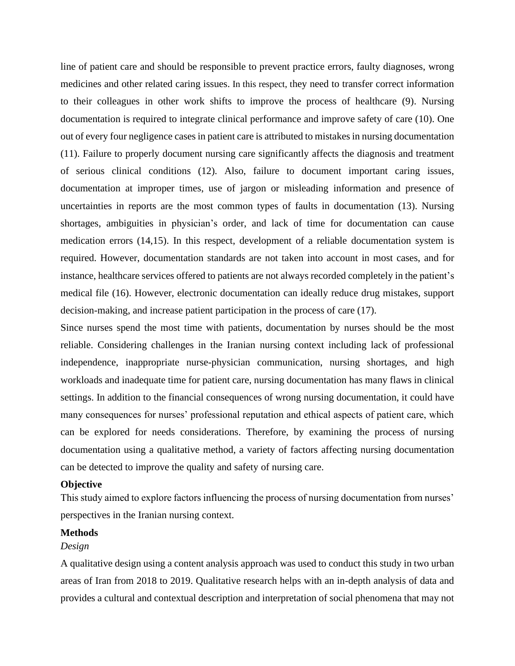line of patient care and should be responsible to prevent practice errors, faulty diagnoses, wrong medicines and other related caring issues. In this respect, they need to transfer correct information to their colleagues in other work shifts to improve the process of healthcare (9). Nursing documentation is required to integrate clinical performance and improve safety of care (10). One out of every four negligence cases in patient care is attributed to mistakes in nursing documentation (11). Failure to properly document nursing care significantly affects the diagnosis and treatment of serious clinical conditions (12). Also, failure to document important caring issues, documentation at improper times, use of jargon or misleading information and presence of uncertainties in reports are the most common types of faults in documentation (13). Nursing shortages, ambiguities in physician's order, and lack of time for documentation can cause medication errors (14,15). In this respect, development of a reliable documentation system is required. However, documentation standards are not taken into account in most cases, and for instance, healthcare services offered to patients are not always recorded completely in the patient's medical file (16). However, electronic documentation can ideally reduce drug mistakes, support decision-making, and increase patient participation in the process of care (17).

Since nurses spend the most time with patients, documentation by nurses should be the most reliable. Considering challenges in the Iranian nursing context including lack of professional independence, inappropriate nurse-physician communication, nursing shortages, and high workloads and inadequate time for patient care, nursing documentation has many flaws in clinical settings. In addition to the financial consequences of wrong nursing documentation, it could have many consequences for nurses' professional reputation and ethical aspects of patient care, which can be explored for needs considerations. Therefore, by examining the process of nursing documentation using a qualitative method, a variety of factors affecting nursing documentation can be detected to improve the quality and safety of nursing care.

### **Objective**

This study aimed to explore factors influencing the process of nursing documentation from nurses' perspectives in the Iranian nursing context.

### **Methods**

### *Design*

A qualitative design using a content analysis approach was used to conduct this study in two urban areas of Iran from 2018 to 2019. Qualitative research helps with an in-depth analysis of data and provides a cultural and contextual description and interpretation of social phenomena that may not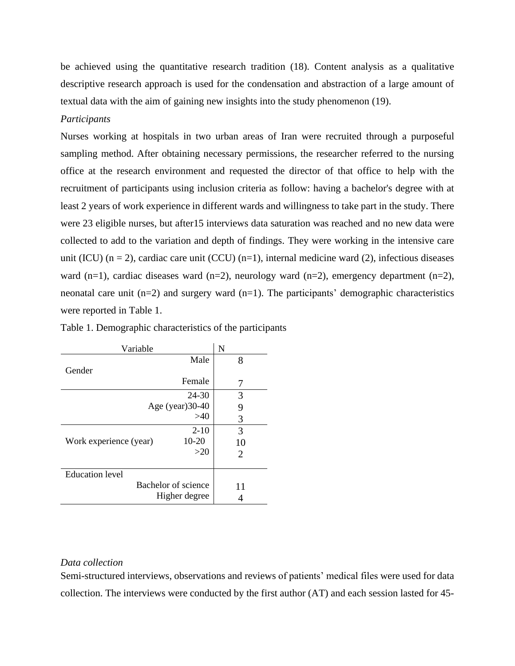be achieved using the quantitative research tradition (18). Content analysis as a qualitative descriptive research approach is used for the condensation and abstraction of a large amount of textual data with the aim of gaining new insights into the study phenomenon (19).

### *Participants*

Nurses working at hospitals in two urban areas of Iran were recruited through a purposeful sampling method. After obtaining necessary permissions, the researcher referred to the nursing office at the research environment and requested the director of that office to help with the recruitment of participants using inclusion criteria as follow: having a bachelor's degree with at least 2 years of work experience in different wards and willingness to take part in the study. There were 23 eligible nurses, but after15 interviews data saturation was reached and no new data were collected to add to the variation and depth of findings. They were working in the intensive care unit (ICU)  $(n = 2)$ , cardiac care unit (CCU)  $(n=1)$ , internal medicine ward (2), infectious diseases ward (n=1), cardiac diseases ward (n=2), neurology ward (n=2), emergency department (n=2), neonatal care unit  $(n=2)$  and surgery ward  $(n=1)$ . The participants' demographic characteristics were reported in Table 1.

| Variable                        | N  |
|---------------------------------|----|
| Male                            | 8  |
| Gender                          |    |
| Female                          | 7  |
| 24-30                           | 3  |
| Age (year) $30-40$              | 9  |
| >40                             | 3  |
| $2-10$                          | 3  |
| 10-20<br>Work experience (year) | 10 |
| >20                             | 2  |
| <b>Education</b> level          |    |
| Bachelor of science             | 11 |
| Higher degree                   |    |

|  | Table 1. Demographic characteristics of the participants |  |
|--|----------------------------------------------------------|--|
|  |                                                          |  |

### *Data collection*

Semi-structured interviews, observations and reviews of patients' medical files were used for data collection. The interviews were conducted by the first author (AT) and each session lasted for 45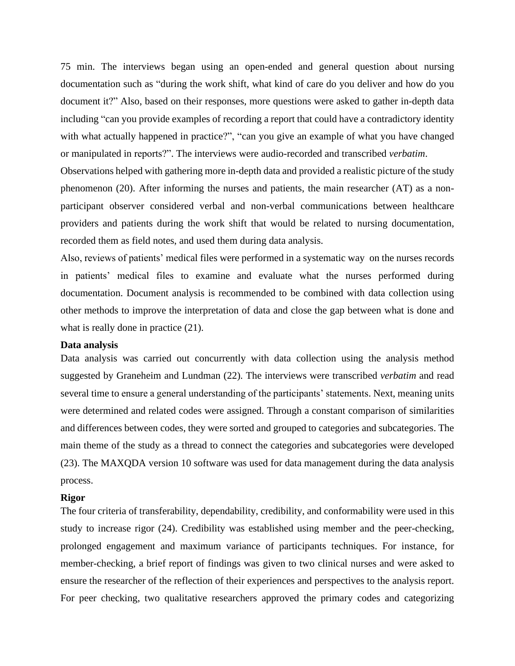75 min. The interviews began using an open-ended and general question about nursing documentation such as "during the work shift, what kind of care do you deliver and how do you document it?" Also, based on their responses, more questions were asked to gather in-depth data including "can you provide examples of recording a report that could have a contradictory identity with what actually happened in practice?", "can you give an example of what you have changed or manipulated in reports?". The interviews were audio-recorded and transcribed *verbatim*.

Observations helped with gathering more in-depth data and provided a realistic picture of the study phenomenon (20). After informing the nurses and patients, the main researcher (AT) as a nonparticipant observer considered verbal and non-verbal communications between healthcare providers and patients during the work shift that would be related to nursing documentation, recorded them as field notes, and used them during data analysis.

Also, reviews of patients' medical files were performed in a systematic way on the nurses records in patients' medical files to examine and evaluate what the nurses performed during documentation. Document analysis is recommended to be combined with data collection using other methods to improve the interpretation of data and close the gap between what is done and what is really done in practice  $(21)$ .

### **Data analysis**

Data analysis was carried out concurrently with data collection using the analysis method suggested by Graneheim and Lundman (22). The interviews were transcribed *verbatim* and read several time to ensure a general understanding of the participants' statements. Next, meaning units were determined and related codes were assigned. Through a constant comparison of similarities and differences between codes, they were sorted and grouped to categories and subcategories. The main theme of the study as a thread to connect the categories and subcategories were developed (23). The MAXQDA version 10 software was used for data management during the data analysis process.

#### **Rigor**

The four criteria of transferability, dependability, credibility, and conformability were used in this study to increase rigor (24). Credibility was established using member and the peer-checking, prolonged engagement and maximum variance of participants techniques. For instance, for member-checking, a brief report of findings was given to two clinical nurses and were asked to ensure the researcher of the reflection of their experiences and perspectives to the analysis report. For peer checking, two qualitative researchers approved the primary codes and categorizing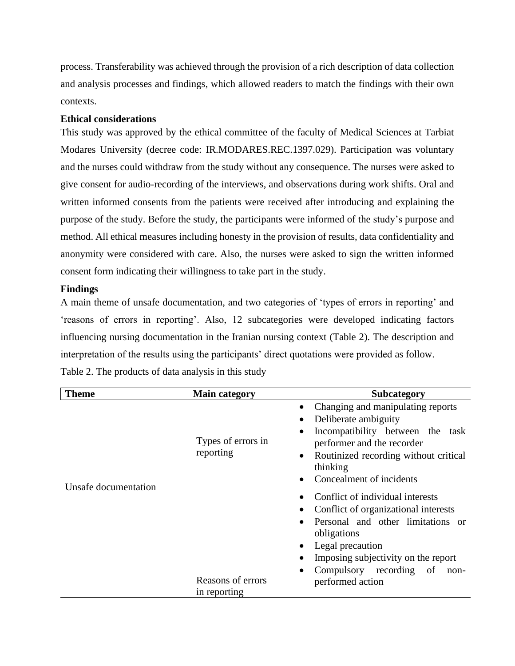process. Transferability was achieved through the provision of a rich description of data collection and analysis processes and findings, which allowed readers to match the findings with their own contexts.

## **Ethical considerations**

This study was approved by the ethical committee of the faculty of Medical Sciences at Tarbiat Modares University (decree code: IR.MODARES.REC.1397.029). Participation was voluntary and the nurses could withdraw from the study without any consequence. The nurses were asked to give consent for audio-recording of the interviews, and observations during work shifts. Oral and written informed consents from the patients were received after introducing and explaining the purpose of the study. Before the study, the participants were informed of the study's purpose and method. All ethical measures including honesty in the provision of results, data confidentiality and anonymity were considered with care. Also, the nurses were asked to sign the written informed consent form indicating their willingness to take part in the study.

## **Findings**

A main theme of unsafe documentation, and two categories of 'types of errors in reporting' and 'reasons of errors in reporting'. Also, 12 subcategories were developed indicating factors influencing nursing documentation in the Iranian nursing context (Table 2). The description and interpretation of the results using the participants' direct quotations were provided as follow.

| <b>Theme</b>         | <b>Main category</b>              | <b>Subcategory</b>                                                                                                                                                                                                                             |
|----------------------|-----------------------------------|------------------------------------------------------------------------------------------------------------------------------------------------------------------------------------------------------------------------------------------------|
| Unsafe documentation | Types of errors in<br>reporting   | Changing and manipulating reports<br>Deliberate ambiguity<br>Incompatibility between the<br>task<br>performer and the recorder<br>Routinized recording without critical<br>thinking<br>Concealment of incidents                                |
|                      | Reasons of errors<br>in reporting | Conflict of individual interests<br>Conflict of organizational interests<br>Personal and other limitations or<br>obligations<br>Legal precaution<br>Imposing subjectivity on the report<br>Compulsory recording of<br>non-<br>performed action |

Table 2. The products of data analysis in this study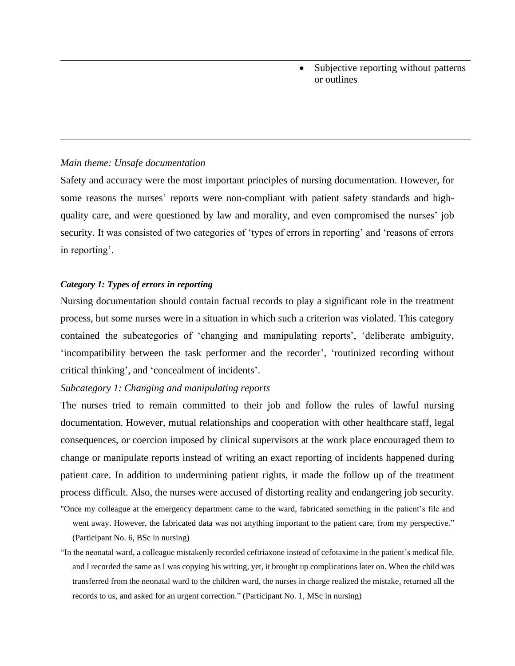• Subjective reporting without patterns or outlines

### *Main theme: Unsafe documentation*

Safety and accuracy were the most important principles of nursing documentation. However, for some reasons the nurses' reports were non-compliant with patient safety standards and highquality care, and were questioned by law and morality, and even compromised the nurses' job security. It was consisted of two categories of 'types of errors in reporting' and 'reasons of errors in reporting'.

#### *Category 1: Types of errors in reporting*

Nursing documentation should contain factual records to play a significant role in the treatment process, but some nurses were in a situation in which such a criterion was violated. This category contained the subcategories of 'changing and manipulating reports', 'deliberate ambiguity, 'incompatibility between the task performer and the recorder', 'routinized recording without critical thinking', and 'concealment of incidents'.

### *Subcategory 1: Changing and manipulating reports*

The nurses tried to remain committed to their job and follow the rules of lawful nursing documentation. However, mutual relationships and cooperation with other healthcare staff, legal consequences, or coercion imposed by clinical supervisors at the work place encouraged them to change or manipulate reports instead of writing an exact reporting of incidents happened during patient care. In addition to undermining patient rights, it made the follow up of the treatment process difficult. Also, the nurses were accused of distorting reality and endangering job security.

"Once my colleague at the emergency department came to the ward, fabricated something in the patient's file and went away. However, the fabricated data was not anything important to the patient care, from my perspective." (Participant No. 6, BSc in nursing)

"In the neonatal ward, a colleague mistakenly recorded ceftriaxone instead of cefotaxime in the patient's medical file, and I recorded the same as I was copying his writing, yet, it brought up complications later on. When the child was transferred from the neonatal ward to the children ward, the nurses in charge realized the mistake, returned all the records to us, and asked for an urgent correction." (Participant No. 1, MSc in nursing)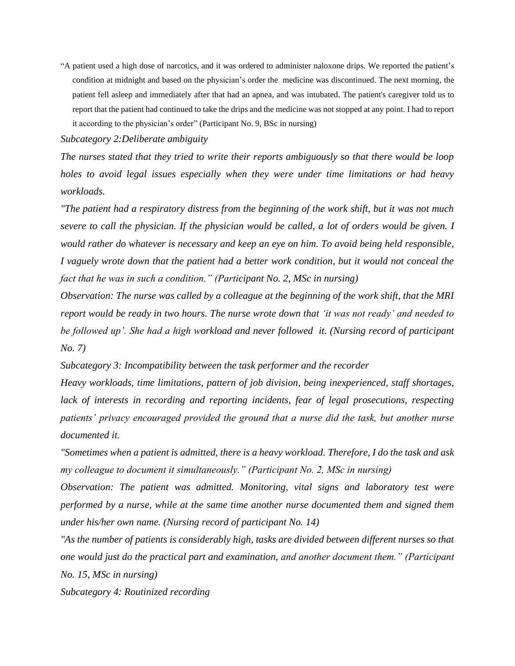"A patient used a high dose of narcotics, and it was ordered to administer naloxone drips. We reported the patient's condition at midnight and based on the physician's order the medicine was discontinued. The next morning, the patient fell asleep and immediately after that had an apnea, and was intubated. The patient's caregiver told us to report that the patient had continued to take the drips and the medicine was not stopped at any point. I had to report it according to the physician's order" (Participant No. 9, BSc in nursing)

*Subcategory 2:Deliberate ambiguity*

*The nurses stated that they tried to write their reports ambiguously so that there would be loop holes to avoid legal issues especially when they were under time limitations or had heavy workloads.*

*"The patient had a respiratory distress from the beginning of the work shift, but it was not much severe to call the physician. If the physician would be called, a lot of orders would be given. I would rather do whatever is necessary and keep an eye on him. To avoid being held responsible, I vaguely wrote down that the patient had a better work condition, but it would not conceal the fact that he was in such a condition." (Participant No. 2, MSc in nursing)*

*Observation: The nurse was called by a colleague at the beginning of the work shift, that the MRI report would be ready in two hours. The nurse wrote down that 'it was not ready' and needed to be followed up'. She had a high workload and never followed it. (Nursing record of participant No. 7)*

*Subcategory 3: Incompatibility between the task performer and the recorder*

*Heavy workloads, time limitations, pattern of job division, being inexperienced, staff shortages,*  lack of interests in recording and reporting incidents, fear of legal prosecutions, respecting *patients' privacy encouraged provided the ground that a nurse did the task, but another nurse documented it.* 

*"Sometimes when a patient is admitted, there is a heavy workload. Therefore, I do the task and ask my colleague to document it simultaneously." (Participant No. 2, MSc in nursing)*

*Observation: The patient was admitted. Monitoring, vital signs and laboratory test were performed by a nurse, while at the same time another nurse documented them and signed them under his/her own name. (Nursing record of participant No. 14)* 

*"As the number of patients is considerably high, tasks are divided between different nurses so that one would just do the practical part and examination, and another document them." (Participant No. 15, MSc in nursing)*

*Subcategory 4: Routinized recording*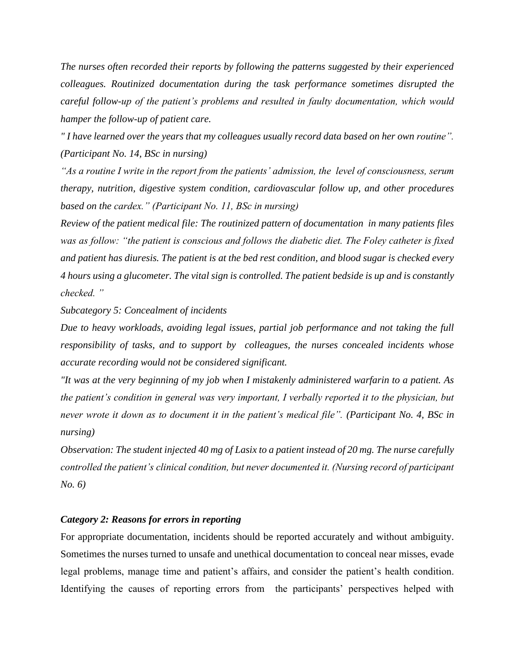*The nurses often recorded their reports by following the patterns suggested by their experienced colleagues. Routinized documentation during the task performance sometimes disrupted the careful follow-up of the patient's problems and resulted in faulty documentation, which would hamper the follow-up of patient care.*

*" I have learned over the years that my colleagues usually record data based on her own routine". (Participant No. 14, BSc in nursing)*

*"As a routine I write in the report from the patients' admission, the level of consciousness, serum therapy, nutrition, digestive system condition, cardiovascular follow up, and other procedures based on the cardex." (Participant No. 11, BSc in nursing)*

*Review of the patient medical file: The routinized pattern of documentation in many patients files was as follow: "the patient is conscious and follows the diabetic diet. The Foley catheter is fixed and patient has diuresis. The patient is at the bed rest condition, and blood sugar is checked every 4 hours using a glucometer. The vital sign is controlled. The patient bedside is up and is constantly checked. "* 

*Subcategory 5: Concealment of incidents*

*Due to heavy workloads, avoiding legal issues, partial job performance and not taking the full responsibility of tasks, and to support by colleagues, the nurses concealed incidents whose accurate recording would not be considered significant.* 

*"It was at the very beginning of my job when I mistakenly administered warfarin to a patient. As the patient's condition in general was very important, I verbally reported it to the physician, but never wrote it down as to document it in the patient's medical file". (Participant No. 4, BSc in nursing)*

*Observation: The student injected 40 mg of Lasix to a patient instead of 20 mg. The nurse carefully controlled the patient's clinical condition, but never documented it. (Nursing record of participant No. 6)* 

### *Category 2: Reasons for errors in reporting*

For appropriate documentation, incidents should be reported accurately and without ambiguity. Sometimes the nurses turned to unsafe and unethical documentation to conceal near misses, evade legal problems, manage time and patient's affairs, and consider the patient's health condition. Identifying the causes of reporting errors from the participants' perspectives helped with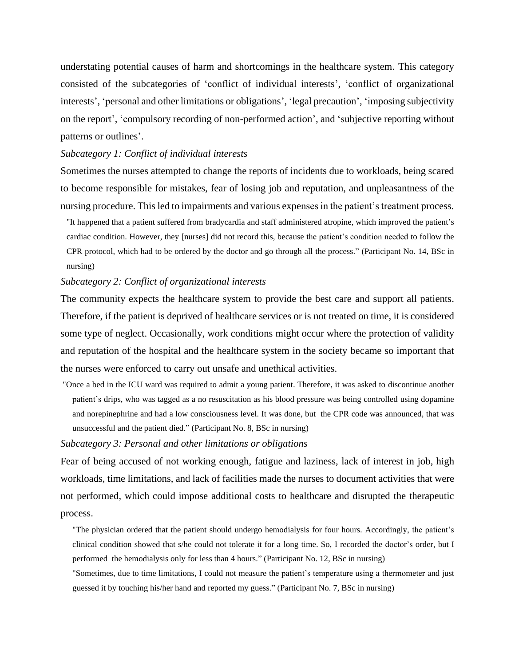understating potential causes of harm and shortcomings in the healthcare system. This category consisted of the subcategories of 'conflict of individual interests', 'conflict of organizational interests', 'personal and other limitations or obligations', 'legal precaution', 'imposing subjectivity on the report', 'compulsory recording of non-performed action', and 'subjective reporting without patterns or outlines'.

### *Subcategory 1: Conflict of individual interests*

Sometimes the nurses attempted to change the reports of incidents due to workloads, being scared to become responsible for mistakes, fear of losing job and reputation, and unpleasantness of the nursing procedure. This led to impairments and various expenses in the patient's treatment process.

"It happened that a patient suffered from bradycardia and staff administered atropine, which improved the patient's cardiac condition. However, they [nurses] did not record this, because the patient's condition needed to follow the CPR protocol, which had to be ordered by the doctor and go through all the process." (Participant No. 14, BSc in nursing)

#### *Subcategory 2: Conflict of organizational interests*

The community expects the healthcare system to provide the best care and support all patients. Therefore, if the patient is deprived of healthcare services or is not treated on time, it is considered some type of neglect. Occasionally, work conditions might occur where the protection of validity and reputation of the hospital and the healthcare system in the society became so important that the nurses were enforced to carry out unsafe and unethical activities.

"Once a bed in the ICU ward was required to admit a young patient. Therefore, it was asked to discontinue another patient's drips, who was tagged as a no resuscitation as his blood pressure was being controlled using dopamine and norepinephrine and had a low consciousness level. It was done, but the CPR code was announced, that was unsuccessful and the patient died." (Participant No. 8, BSc in nursing)

### *Subcategory 3: Personal and other limitations or obligations*

Fear of being accused of not working enough, fatigue and laziness, lack of interest in job, high workloads, time limitations, and lack of facilities made the nurses to document activities that were not performed, which could impose additional costs to healthcare and disrupted the therapeutic process.

"The physician ordered that the patient should undergo hemodialysis for four hours. Accordingly, the patient's clinical condition showed that s/he could not tolerate it for a long time. So, I recorded the doctor's order, but I performed the hemodialysis only for less than 4 hours." (Participant No. 12, BSc in nursing)

"Sometimes, due to time limitations, I could not measure the patient's temperature using a thermometer and just guessed it by touching his/her hand and reported my guess." (Participant No. 7, BSc in nursing)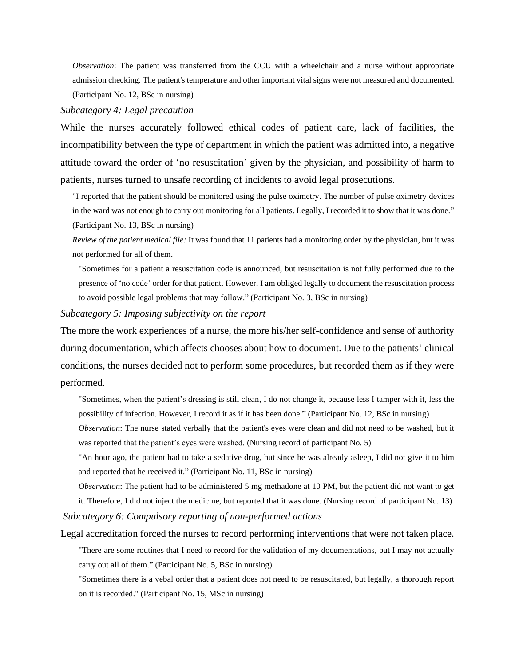*Observation*: The patient was transferred from the CCU with a wheelchair and a nurse without appropriate admission checking. The patient's temperature and other important vital signs were not measured and documented. (Participant No. 12, BSc in nursing)

### *Subcategory 4: Legal precaution*

While the nurses accurately followed ethical codes of patient care, lack of facilities, the incompatibility between the type of department in which the patient was admitted into, a negative attitude toward the order of 'no resuscitation' given by the physician, and possibility of harm to patients, nurses turned to unsafe recording of incidents to avoid legal prosecutions.

"I reported that the patient should be monitored using the pulse oximetry. The number of pulse oximetry devices in the ward was not enough to carry out monitoring for all patients. Legally, I recorded it to show that it was done." (Participant No. 13, BSc in nursing)

*Review of the patient medical file:* It was found that 11 patients had a monitoring order by the physician, but it was not performed for all of them.

"Sometimes for a patient a resuscitation code is announced, but resuscitation is not fully performed due to the presence of 'no code' order for that patient. However, I am obliged legally to document the resuscitation process to avoid possible legal problems that may follow." (Participant No. 3, BSc in nursing)

#### *Subcategory 5: Imposing subjectivity on the report*

The more the work experiences of a nurse, the more his/her self-confidence and sense of authority during documentation, which affects chooses about how to document. Due to the patients' clinical conditions, the nurses decided not to perform some procedures, but recorded them as if they were performed.

"Sometimes, when the patient's dressing is still clean, I do not change it, because less I tamper with it, less the possibility of infection. However, I record it as if it has been done." (Participant No. 12, BSc in nursing)

*Observation*: The nurse stated verbally that the patient's eyes were clean and did not need to be washed, but it was reported that the patient's eyes were washed. (Nursing record of participant No. 5)

"An hour ago, the patient had to take a sedative drug, but since he was already asleep, I did not give it to him and reported that he received it." (Participant No. 11, BSc in nursing)

*Observation*: The patient had to be administered 5 mg methadone at 10 PM, but the patient did not want to get it. Therefore, I did not inject the medicine, but reported that it was done. (Nursing record of participant No. 13)

*Subcategory 6: Compulsory reporting of non-performed actions*

Legal accreditation forced the nurses to record performing interventions that were not taken place.

"There are some routines that I need to record for the validation of my documentations, but I may not actually carry out all of them." (Participant No. 5, BSc in nursing)

"Sometimes there is a vebal order that a patient does not need to be resuscitated, but legally, a thorough report on it is recorded." (Participant No. 15, MSc in nursing)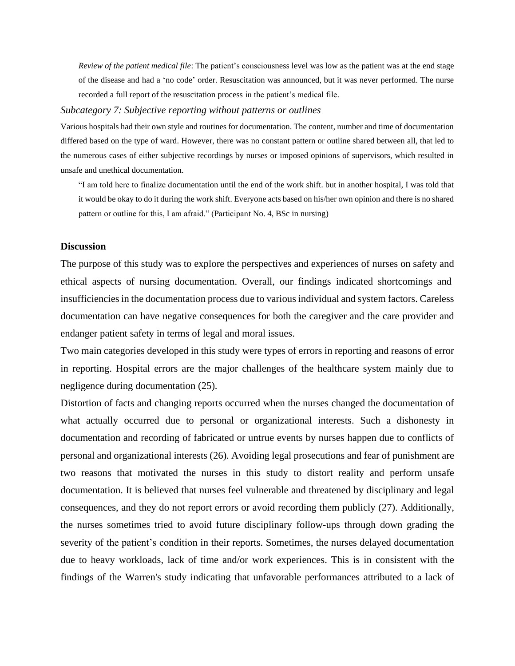*Review of the patient medical file*: The patient's consciousness level was low as the patient was at the end stage of the disease and had a 'no code' order. Resuscitation was announced, but it was never performed. The nurse recorded a full report of the resuscitation process in the patient's medical file.

### *Subcategory 7: Subjective reporting without patterns or outlines*

Various hospitals had their own style and routines for documentation. The content, number and time of documentation differed based on the type of ward. However, there was no constant pattern or outline shared between all, that led to the numerous cases of either subjective recordings by nurses or imposed opinions of supervisors, which resulted in unsafe and unethical documentation.

"I am told here to finalize documentation until the end of the work shift. but in another hospital, I was told that it would be okay to do it during the work shift. Everyone acts based on his/her own opinion and there is no shared pattern or outline for this, I am afraid." (Participant No. 4, BSc in nursing)

#### **Discussion**

The purpose of this study was to explore the perspectives and experiences of nurses on safety and ethical aspects of nursing documentation. Overall, our findings indicated shortcomings and insufficiencies in the documentation process due to various individual and system factors. Careless documentation can have negative consequences for both the caregiver and the care provider and endanger patient safety in terms of legal and moral issues.

Two main categories developed in this study were types of errors in reporting and reasons of error in reporting. Hospital errors are the major challenges of the healthcare system mainly due to negligence during documentation (25).

Distortion of facts and changing reports occurred when the nurses changed the documentation of what actually occurred due to personal or organizational interests. Such a dishonesty in documentation and recording of fabricated or untrue events by nurses happen due to conflicts of personal and organizational interests (26). Avoiding legal prosecutions and fear of punishment are two reasons that motivated the nurses in this study to distort reality and perform unsafe documentation. It is believed that nurses feel vulnerable and threatened by disciplinary and legal consequences, and they do not report errors or avoid recording them publicly (27). Additionally, the nurses sometimes tried to avoid future disciplinary follow-ups through down grading the severity of the patient's condition in their reports. Sometimes, the nurses delayed documentation due to heavy workloads, lack of time and/or work experiences. This is in consistent with the findings of the Warren's study indicating that unfavorable performances attributed to a lack of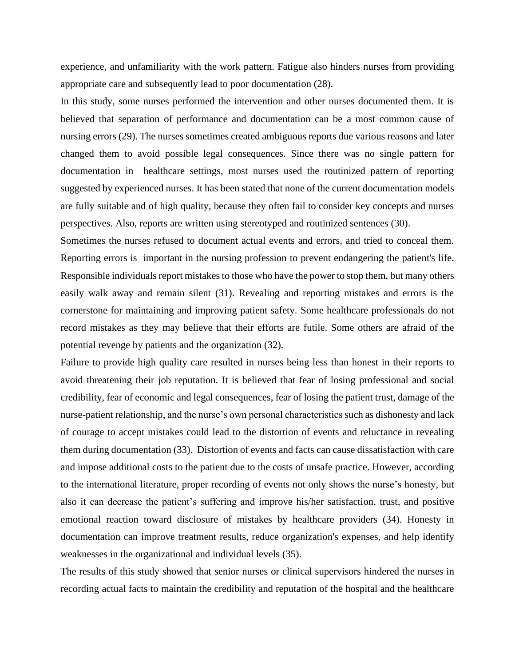experience, and unfamiliarity with the work pattern. Fatigue also hinders nurses from providing appropriate care and subsequently lead to poor documentation (28).

In this study, some nurses performed the intervention and other nurses documented them. It is believed that separation of performance and documentation can be a most common cause of nursing errors (29). The nurses sometimes created ambiguous reports due various reasons and later changed them to avoid possible legal consequences. Since there was no single pattern for documentation in healthcare settings, most nurses used the routinized pattern of reporting suggested by experienced nurses. It has been stated that none of the current documentation models are fully suitable and of high quality, because they often fail to consider key concepts and nurses perspectives. Also, reports are written using stereotyped and routinized sentences (30).

Sometimes the nurses refused to document actual events and errors, and tried to conceal them. Reporting errors is important in the nursing profession to prevent endangering the patient's life. Responsible individuals report mistakes to those who have the power to stop them, but many others easily walk away and remain silent (31). Revealing and reporting mistakes and errors is the cornerstone for maintaining and improving patient safety. Some healthcare professionals do not record mistakes as they may believe that their efforts are futile. Some others are afraid of the potential revenge by patients and the organization (32).

Failure to provide high quality care resulted in nurses being less than honest in their reports to avoid threatening their job reputation. It is believed that fear of losing professional and social credibility, fear of economic and legal consequences, fear of losing the patient trust, damage of the nurse-patient relationship, and the nurse's own personal characteristics such as dishonesty and lack of courage to accept mistakes could lead to the distortion of events and reluctance in revealing them during documentation (33). Distortion of events and facts can cause dissatisfaction with care and impose additional costs to the patient due to the costs of unsafe practice. However, according to the international literature, proper recording of events not only shows the nurse's honesty, but also it can decrease the patient's suffering and improve his/her satisfaction, trust, and positive emotional reaction toward disclosure of mistakes by healthcare providers (34). Honesty in documentation can improve treatment results, reduce organization's expenses, and help identify weaknesses in the organizational and individual levels (35).

The results of this study showed that senior nurses or clinical supervisors hindered the nurses in recording actual facts to maintain the credibility and reputation of the hospital and the healthcare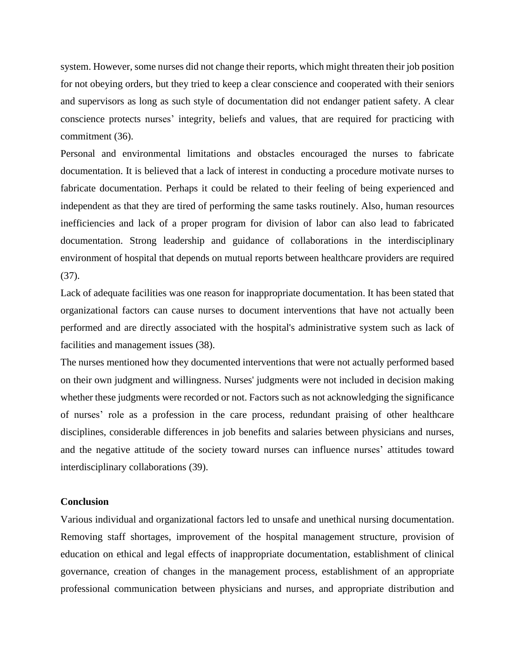system. However, some nurses did not change their reports, which might threaten their job position for not obeying orders, but they tried to keep a clear conscience and cooperated with their seniors and supervisors as long as such style of documentation did not endanger patient safety. A clear conscience protects nurses' integrity, beliefs and values, that are required for practicing with commitment (36).

Personal and environmental limitations and obstacles encouraged the nurses to fabricate documentation. It is believed that a lack of interest in conducting a procedure motivate nurses to fabricate documentation. Perhaps it could be related to their feeling of being experienced and independent as that they are tired of performing the same tasks routinely. Also, human resources inefficiencies and lack of a proper program for division of labor can also lead to fabricated documentation. Strong leadership and guidance of collaborations in the interdisciplinary environment of hospital that depends on mutual reports between healthcare providers are required (37).

Lack of adequate facilities was one reason for inappropriate documentation. It has been stated that organizational factors can cause nurses to document interventions that have not actually been performed and are directly associated with the hospital's administrative system such as lack of facilities and management issues (38).

The nurses mentioned how they documented interventions that were not actually performed based on their own judgment and willingness. Nurses' judgments were not included in decision making whether these judgments were recorded or not. Factors such as not acknowledging the significance of nurses' role as a profession in the care process, redundant praising of other healthcare disciplines, considerable differences in job benefits and salaries between physicians and nurses, and the negative attitude of the society toward nurses can influence nurses' attitudes toward interdisciplinary collaborations (39).

### **Conclusion**

Various individual and organizational factors led to unsafe and unethical nursing documentation. Removing staff shortages, improvement of the hospital management structure, provision of education on ethical and legal effects of inappropriate documentation, establishment of clinical governance, creation of changes in the management process, establishment of an appropriate professional communication between physicians and nurses, and appropriate distribution and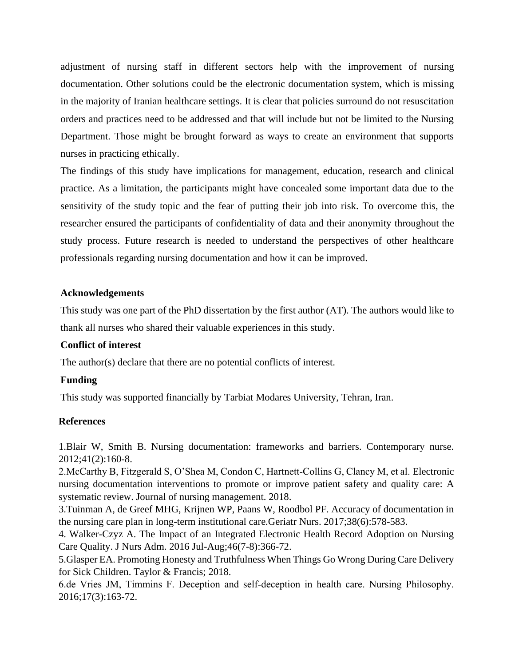adjustment of nursing staff in different sectors help with the improvement of nursing documentation. Other solutions could be the electronic documentation system, which is missing in the majority of Iranian healthcare settings. It is clear that policies surround do not resuscitation orders and practices need to be addressed and that will include but not be limited to the Nursing Department. Those might be brought forward as ways to create an environment that supports nurses in practicing ethically.

The findings of this study have implications for management, education, research and clinical practice. As a limitation, the participants might have concealed some important data due to the sensitivity of the study topic and the fear of putting their job into risk. To overcome this, the researcher ensured the participants of confidentiality of data and their anonymity throughout the study process. Future research is needed to understand the perspectives of other healthcare professionals regarding nursing documentation and how it can be improved.

## **Acknowledgements**

This study was one part of the PhD dissertation by the first author (AT). The authors would like to thank all nurses who shared their valuable experiences in this study.

## **Conflict of interest**

The author(s) declare that there are no potential conflicts of interest.

## **Funding**

This study was supported financially by Tarbiat Modares University, Tehran, Iran.

## **References**

1.Blair W, Smith B. Nursing documentation: frameworks and barriers. Contemporary nurse. 2012;41(2):160-8.

2.McCarthy B, Fitzgerald S, O'Shea M, Condon C, Hartnett‐Collins G, Clancy M, et al. Electronic nursing documentation interventions to promote or improve patient safety and quality care: A systematic review. Journal of nursing management. 2018.

3.Tuinman A, de Greef MHG, Krijnen WP, Paans W, Roodbol PF. Accuracy of documentation in the nursing care plan in long-term institutional care.Geriatr Nurs. 2017;38(6):578-583.

4. Walker-Czyz A. The Impact of an Integrated Electronic Health Record Adoption on Nursing Care Quality. J Nurs Adm. 2016 Jul-Aug;46(7-8):366-72.

5.Glasper EA. Promoting Honesty and Truthfulness When Things Go Wrong During Care Delivery for Sick Children. Taylor & Francis; 2018.

6.de Vries JM, Timmins F. Deception and self‐deception in health care. Nursing Philosophy. 2016;17(3):163-72.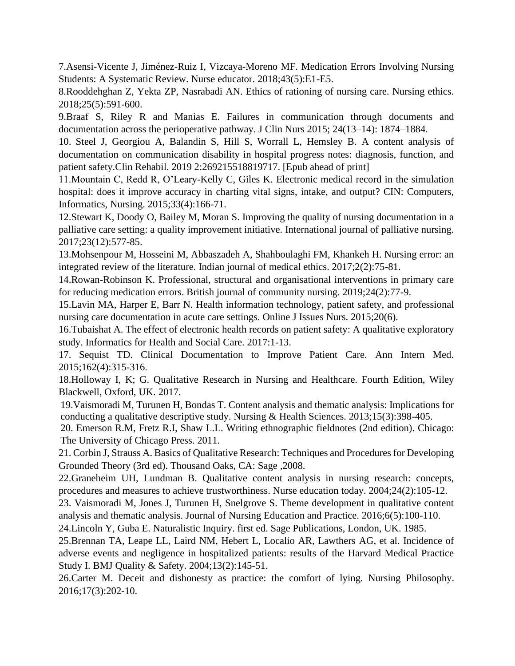7.Asensi-Vicente J, Jiménez-Ruiz I, Vizcaya-Moreno MF. Medication Errors Involving Nursing Students: A Systematic Review. Nurse educator. 2018;43(5):E1-E5.

8.Rooddehghan Z, Yekta ZP, Nasrabadi AN. Ethics of rationing of nursing care. Nursing ethics. 2018;25(5):591-600.

9.Braaf S, Riley R and Manias E. Failures in communication through documents and documentation across the perioperative pathway. J Clin Nurs 2015; 24(13–14): 1874–1884.

10. Steel J, Georgiou A, Balandin S, Hill S, Worrall L, Hemsley B. A content analysis of documentation on communication disability in hospital progress notes: diagnosis, function, and patient safety.Clin Rehabil. 2019 2:269215518819717. [Epub ahead of print]

11.Mountain C, Redd R, O'Leary-Kelly C, Giles K. Electronic medical record in the simulation hospital: does it improve accuracy in charting vital signs, intake, and output? CIN: Computers, Informatics, Nursing. 2015;33(4):166-71.

12.Stewart K, Doody O, Bailey M, Moran S. Improving the quality of nursing documentation in a palliative care setting: a quality improvement initiative. International journal of palliative nursing. 2017;23(12):577-85.

13.Mohsenpour M, Hosseini M, Abbaszadeh A, Shahboulaghi FM, Khankeh H. Nursing error: an integrated review of the literature. Indian journal of medical ethics. 2017;2(2):75-81.

14.Rowan-Robinson K. Professional, structural and organisational interventions in primary care for reducing medication errors. British journal of community nursing. 2019;24(2):77-9.

15.Lavin MA, Harper E, Barr N. Health information technology, patient safety, and professional nursing care documentation in acute care settings. Online J Issues Nurs. 2015;20(6).

16.Tubaishat A. The effect of electronic health records on patient safety: A qualitative exploratory study. Informatics for Health and Social Care. 2017:1-13.

17. Sequist TD. Clinical Documentation to Improve Patient Care. Ann Intern Med. 2015;162(4):315-316.

18.Holloway I, K; G. Qualitative Research in Nursing and Healthcare. Fourth Edition, Wiley Blackwell, Oxford, UK. 2017.

19.Vaismoradi M, Turunen H, Bondas T. Content analysis and thematic analysis: Implications for conducting a qualitative descriptive study. Nursing & Health Sciences. 2013;15(3):398-405.

20. Emerson R.M, Fretz R.I, Shaw L.L. Writing ethnographic fieldnotes (2nd edition). Chicago: The University of Chicago Press. 2011.

21. Corbin J, Strauss A. Basics of Qualitative Research: Techniques and Procedures for Developing Grounded Theory (3rd ed). Thousand Oaks, CA: Sage ,2008.

22.Graneheim UH, Lundman B. Qualitative content analysis in nursing research: concepts, procedures and measures to achieve trustworthiness. Nurse education today. 2004;24(2):105-12.

23. Vaismoradi M, Jones J, Turunen H, Snelgrove S. Theme development in qualitative content analysis and thematic analysis. Journal of Nursing Education and Practice. 2016;6(5):100-110.

24.Lincoln Y, Guba E. Naturalistic Inquiry. first ed. Sage Publications, London, UK. 1985.

25.Brennan TA, Leape LL, Laird NM, Hebert L, Localio AR, Lawthers AG, et al. Incidence of adverse events and negligence in hospitalized patients: results of the Harvard Medical Practice Study I. BMJ Quality & Safety. 2004;13(2):145-51.

26.Carter M. Deceit and dishonesty as practice: the comfort of lying. Nursing Philosophy. 2016;17(3):202-10.